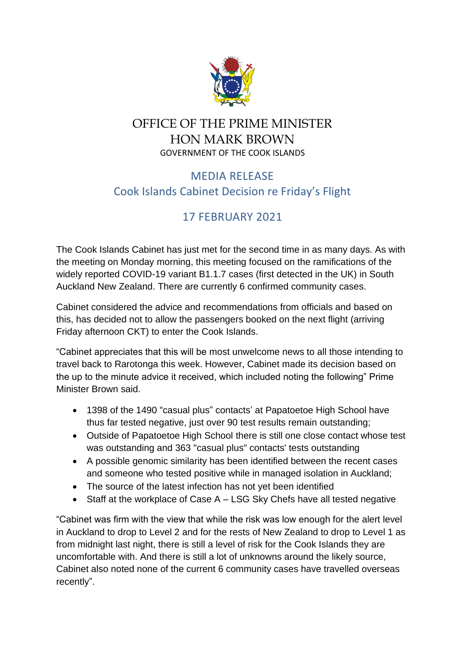

## OFFICE OF THE PRIME MINISTER HON MARK BROWN GOVERNMENT OF THE COOK ISLANDS

## MEDIA RELEASE Cook Islands Cabinet Decision re Friday's Flight

## 17 FEBRUARY 2021

The Cook Islands Cabinet has just met for the second time in as many days. As with the meeting on Monday morning, this meeting focused on the ramifications of the widely reported COVID-19 variant B1.1.7 cases (first detected in the UK) in South Auckland New Zealand. There are currently 6 confirmed community cases.

Cabinet considered the advice and recommendations from officials and based on this, has decided not to allow the passengers booked on the next flight (arriving Friday afternoon CKT) to enter the Cook Islands.

"Cabinet appreciates that this will be most unwelcome news to all those intending to travel back to Rarotonga this week. However, Cabinet made its decision based on the up to the minute advice it received, which included noting the following" Prime Minister Brown said.

- 1398 of the 1490 "casual plus" contacts' at Papatoetoe High School have thus far tested negative, just over 90 test results remain outstanding;
- Outside of Papatoetoe High School there is still one close contact whose test was outstanding and 363 "casual plus" contacts' tests outstanding
- A possible genomic similarity has been identified between the recent cases and someone who tested positive while in managed isolation in Auckland;
- The source of the latest infection has not yet been identified
- Staff at the workplace of Case A LSG Sky Chefs have all tested negative

"Cabinet was firm with the view that while the risk was low enough for the alert level in Auckland to drop to Level 2 and for the rests of New Zealand to drop to Level 1 as from midnight last night, there is still a level of risk for the Cook Islands they are uncomfortable with. And there is still a lot of unknowns around the likely source, Cabinet also noted none of the current 6 community cases have travelled overseas recently".